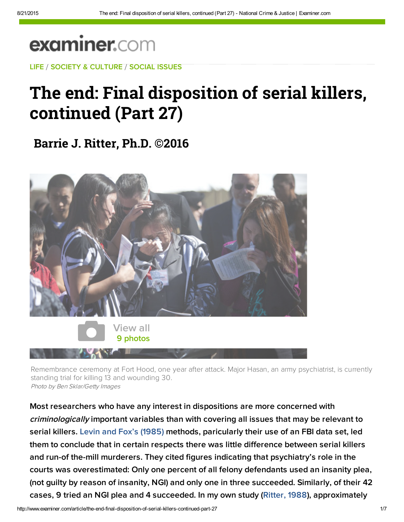## **examiner.com**

[LIFE](http://www.examiner.com/topic/life) / [S](http://web.adblade.com/clicks.php?appId=10176&zid=559ec62d2c963&adId=221046&pos=1&impt=1440184861&zoneId=797&algid=4&reqid=53d46d40e9f060bd&ord=1440184861&url=http%3A%2F%2Fwww.examiner.com%2Farticle%2Fthe-end-final-disposition-of-serial-killers-continued-part-27)[OCIETY & CULTURE](http://www.examiner.com/society-and-culture) / [SOCIAL ISSU](http://web.adblade.com/clicks.php?appId=10176&zid=55ccbe0467627&adId=232985&pos=2&impt=1440184861&zoneId=797&algid=4&reqid=53d46d40e9f060bd&ord=1440184861&url=http%3A%2F%2Fwww.examiner.com%2Farticle%2Fthe-end-final-disposition-of-serial-killers-continued-part-27)[ES](http://www.examiner.com/social-issues)

## [The end: Final disp](http://googleads.g.doubleclick.net/pagead/aclk?sa=L&ai=C0bWgHXrXVc2jIOvhwQGKvai4A4Hrt94H0b3iqpACqcf9pIACEAEgs9XOGGDJpu6M5KTAE6ABi_Lv_APIAQPgAgCoAwHIA5kEqgTRAU_QccV52udY_kwFT4CevVVjkrAoe4O8CBoZCUY-YbIF8YhysZPXoue3UiEkksMMdq1vlh4LruGiCMpbschALkxSelIAOLXhgzFzqNUEk92oHHG0RA0kXVbGhKtBD3frgMm2ZHu2fc9v8KrTuzGrGR8AYZrsbx0y4XBMQo0dTjzQwa9BwT5f6hBqXNbk9oFcYRa-pleyW152MMMrZEysXizihMjhPtiS5S6maZdWDjYARfzCWFI_SM9cL_bQ2D1_jUf4HyIEdM0BZMNUNHjkcXBr4AQBiAYBoAYDgAfdjZADqAemvhvYBwE&num=1&cid=5GjQentFtyYGB_O5XBTV52Ou&sig=AOD64_0f13tiRsUoBa2OWRmFzWIF_TVx-w&client=ca-pub-0759409614920411&adurl=https://www.trophynissan.com/promo/model-year-end-event.htm)osition of serial killers, continued (Part 27)

**[Barrie J. Ri](http://web.adblade.com/clicks.php?appId=10176&zid=55d5f3ac5658b&adId=235386&pos=3&impt=1440184861&zoneId=797&algid=4&reqid=53d46d40e9f060bd&ord=1440184861&url=http%3A%2F%2Fwww.examiner.com%2Farticle%2Fthe-end-final-disposition-of-serial-killers-continued-part-27)[tter, Ph.D. ©20](http://web.adblade.com/clicks.php?appId=10176&zid=55ba3eeb8a24a&adId=227761&pos=4&impt=1440184861&zoneId=797&algid=4&reqid=53d46d40e9f060bd&ord=1440184861&url=http%3A%2F%2Fwww.examiner.com%2Farticle%2Fthe-end-final-disposition-of-serial-killers-continued-part-27)16**



Remembrance ceremony at Fort Hood, one year after attack. Major Hasan, an army psychiatrist, is currently standing trial for killing 13 and wounding 30. Photo by Ben Sklar/Getty Images

Most researchers who have any interest in dispositions are more concerned with criminologically important variables than with covering all issues that may be relevant to serial killers. [Levin and Fox's \(1985\)](http://1.usa.gov/1ApOJhV) methods, paricularly their use of an FBI data set, led them to conclude that in certain respects there was little difference between serial killers and run-of the-mill murderers. They cited figures indicating that psychiatry's role in the courts was overestimated: Only one percent of all felony defendants used an insanity plea, (not guilty by reason of insanity, NGI) and only one in three succeeded. Similarly, of their 42 cases, 9 tried an NGI plea and 4 succeeded. In my own study ([Ritter, 1988](http://bit.ly/1ubDkdG)), approximately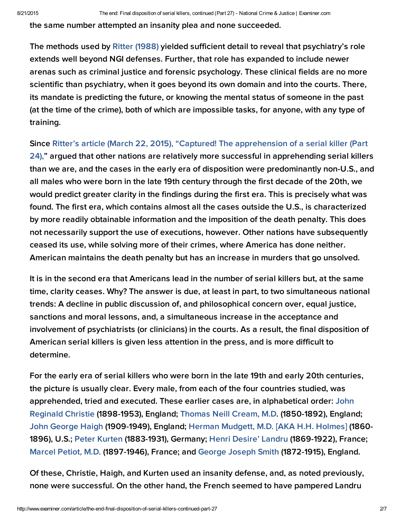the same number attempted an insanity plea and none succeeded.

The methods used by Ritter [\(1988\)](http://bit.ly/1AkC0NM) yielded sufficient detail to reveal that psychiatry's role extends well beyond NGI defenses. Further, that role has expanded to include newer arenas such as criminal justice and forensic psychology. These clinical fields are no more scientific than psychiatry, when it goes beyond its own domain and into the courts. There, its mandate is predicting the future, or knowing the mental status of someone in the past (at the time of the crime), both of which are impossible tasks, for anyone, with any type of training.

Since Ritter's article (March 22, 2015), "Captured! The apprehension of a serial killer (Part 24)," argued that other nations are relatively more successful in [apprehending](http://exm.nr/1AsdGt0) serial killers than we are, and the cases in the early era of disposition were predominantly non-U.S., and all males who were born in the late 19th century through the first decade of the 20th, we would predict greater clarity in the findings during the first era. This is precisely what was found. The first era, which contains almost all the cases outside the U.S., is characterized by more readily obtainable information and the imposition of the death penalty. This does not necessarily support the use of executions, however. Other nations have subsequently ceased its use, while solving more of their crimes, where America has done neither. American maintains the death penalty but has an increase in murders that go unsolved.

It is in the second era that Americans lead in the number of serial killers but, at the same time, clarity ceases. Why? The answer is due, at least in part, to two simultaneous national trends: A decline in public discussion of, and philosophical concern over, equal justice, s[anctions](http://pubnation.com/) and moral lessons, and, a simultaneous increase in the acceptance and involvement of psychiatrists (or clinicians) in the courts. As a result, the final disposition of American serial killers is given less attention in the press, and is more difficult to determine.

For the early era of serial killers who were born in the late 19th and early 20th centuries, the picture is usually clear. Every male, from each of the four countries studied, was [apprehended,](http://bit.ly/1CNMIZl) tried and executed. These earlier cases are, in alphabetical order: John Reginald Christie (1898-1953), England; [Thomas](http://bit.ly/1F43IJY) Neill Cream, M.D. (1850-1892), England; John [George](http://bit.ly/HE5Z7I) Haigh (1909-1949), England; Herman [Mudgett,](http://bit.ly/JMwKYy) M.D. [AKA H.H. Holmes] (1860- 1896), U.S.; Peter [Kurten](http://bit.ly/HDyliL) (1883-1931), Germany; Henri [Desire'](http://bit.ly/JMJ74Q) Landru (1869-1922), France; [Marcel](http://bit.ly/J9QwHq) Petiot, M.D. (1897-1946), France; and [George](http://bit.ly/KGbNtj) Joseph Smith (1872-1915), England.

Of these, Christie, Haigh, and Kurten used an insanity defense, and, as noted previously, none were successful. On the other hand, the French seemed to have pampered Landru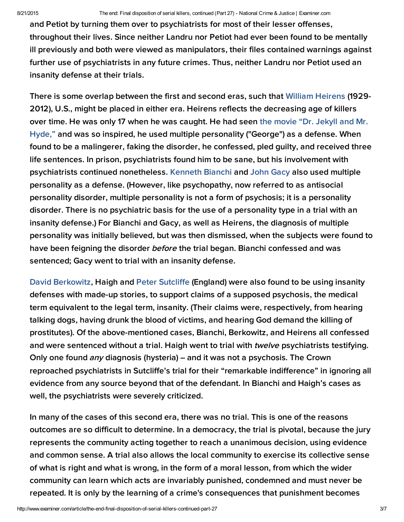and Petiot by turning them over to psychiatrists for most of their lesser offenses, throughout their lives. Since neither Landru nor Petiot had ever been found to be mentally ill previously and both were viewed as manipulators, their files contained warnings against further use of psychiatrists in any future crimes. Thus, neither Landru nor Petiot used an insanity defense at their trials.

There is some overlap between the first and second eras, such that [William Heirens](http://trib.in/1Fxu5LF) (1929- 2012), U.S., might be placed in either era. Heirens reflects the decreasing age of killers over time. He was only 17 when he was caught. He had seen the movie "Dr. Jekyll and Mr. [Hyde," and was so inspired, he used multiple personality \("George"\) as a defense. When](http://bit.ly/1JNyk90)  found to be a malingerer, faking the disorder, he confessed, pled guilty, and received three life sentences. In prison, psychiatrists found him to be sane, but his involvement with psychiatrists continued nonetheless. [Kenneth Bianchi](http://bit.ly/LwXJrA) and [John Gacy](http://bit.ly/1qk9oIe) also used multiple personality as a defense. (However, like psychopathy, now referred to as antisocial personality disorder, multiple personality is not a form of psychosis; it is a personality disorder. There is no psychiatric basis for the use of a personality type in a trial with an insanity defense.) For Bianchi and Gacy, as well as Heirens, the diagnosis of multiple personality was initially believed, but was then dismissed, when the subjects were found to have been feigning the disorder *before* the trial began. Bianchi confessed and was sentenced; Gacy went to trial with an insanity defense.

[David Berkowitz,](http://nydn.us/17UMleR) Haigh and [Peter Sutcliffe](http://dailym.ai/1Q4WiMJ) (England) were also found to be using insanity defenses with made-up stories, to support claims of a supposed psychosis, the medical term equivalent to the legal term, insanity. (Their claims were, respectively, from hearing talking dogs, having drunk the blood of victims, and hearing God demand the killing of prostitutes). Of the above-mentioned cases, Bianchi, Berkowitz, and Heirens all confessed and were sentenced without a trial. Haigh went to trial with *twelve* psychiatrists testifying. Only one found *any* diagnosis (hysteria) – and it was not a psychosis. The Crown reproached psychiatrists in Sutcliffe's trial for their "remarkable indifference" in ignoring all evidence from any source beyond that of the defendant. In Bianchi and Haigh's cases as well, the psychiatrists were severely criticized.

In many of the cases of this second era, there was no trial. This is one of the reasons outcomes are so difficult to determine. In a democracy, the trial is pivotal, because the jury represents the community acting together to reach a unanimous decision, using evidence and common sense. A trial also allows the local community to exercise its collective sense of what is right and what is wrong, in the form of a moral lesson, from which the wider community can learn which acts are invariably punished, condemned and must never be repeated. It is only by the learning of a crime's consequences that punishment becomes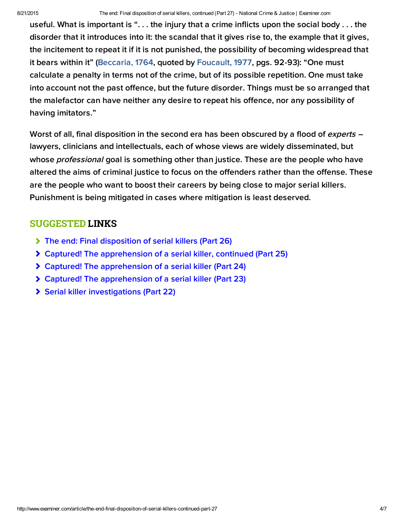useful. What is important is ". . . the injury that a crime inflicts upon the social body . . . the disorder that it introduces into it: the scandal that it gives rise to, the example that it gives, the incitement to repeat it if it is not punished, the possibility of becoming widespread that it bears within it" [\(Beccaria, 1764,](http://bit.ly/1caALF8) quoted by [Foucault, 1977,](http://bit.ly/1GuOIKI) pgs. 92-93): "One must calculate a penalty in terms not of the crime, but of its possible repetition. One must take into account not the past offence, but the future disorder. Things must be so arranged that the malefactor can have neither any desire to repeat his offence, nor any possibility of having imitators."

Worst of all, final disposition in the second era has been obscured by a flood of experts lawyers, clinicians and intellectuals, each of whose views are widely disseminated, but whose *professional* goal is something other than justice. These are the people who have altered the aims of criminal justice to focus on the offenders rather than the offense. These are the people who want to boost their careers by being close to major serial killers. Punishment is being mitigated in cases where mitigation is least deserved.

## SUGGESTED LINKS

- [The end: Final disposition of serial killers \(Part 26\)](http://www.ritterhomicideresearch.com/articles/Part-26.pdf)
- [Captured! The apprehension of a serial killer, continued \(Part 25\)](http://www.ritterhomicideresearch.com/articles/Part-25.pdf)
- [Captured! The apprehension of a serial killer \(Part 24\)](http://www.ritterhomicideresearch.com/articles/Part-24.pdf)
- [Captured! The apprehension of a serial killer \(Part 23\)](http://www.ritterhomicideresearch.com/articles/Part-23.pdf)
- [Serial killer investigations \(Part 22\)](http://www.ritterhomicideresearch.com/articles/Part-22.pdf)